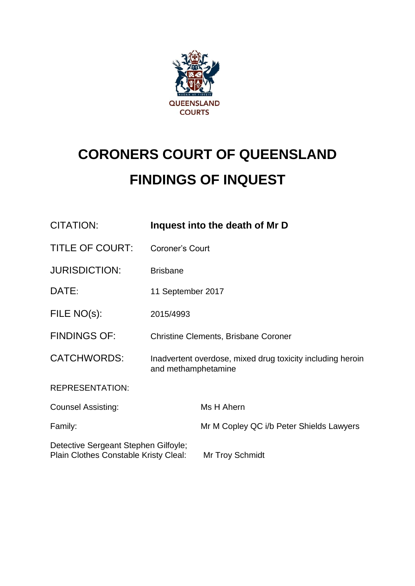

# **CORONERS COURT OF QUEENSLAND FINDINGS OF INQUEST**

| <b>CITATION:</b>                                                              |                                                                                   | Inquest into the death of Mr D           |
|-------------------------------------------------------------------------------|-----------------------------------------------------------------------------------|------------------------------------------|
| <b>TITLE OF COURT:</b>                                                        | Coroner's Court                                                                   |                                          |
| <b>JURISDICTION:</b>                                                          | <b>Brisbane</b>                                                                   |                                          |
| DATE:                                                                         | 11 September 2017                                                                 |                                          |
| FILE NO(s):                                                                   | 2015/4993                                                                         |                                          |
| <b>FINDINGS OF:</b>                                                           | <b>Christine Clements, Brisbane Coroner</b>                                       |                                          |
| <b>CATCHWORDS:</b>                                                            | Inadvertent overdose, mixed drug toxicity including heroin<br>and methamphetamine |                                          |
| <b>REPRESENTATION:</b>                                                        |                                                                                   |                                          |
| <b>Counsel Assisting:</b>                                                     |                                                                                   | Ms H Ahern                               |
| Family:                                                                       |                                                                                   | Mr M Copley QC i/b Peter Shields Lawyers |
| Detective Sergeant Stephen Gilfoyle;<br>Plain Clothes Constable Kristy Cleal: |                                                                                   | Mr Troy Schmidt                          |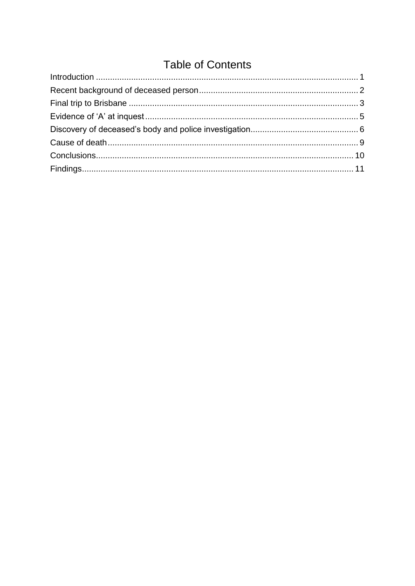# **Table of Contents**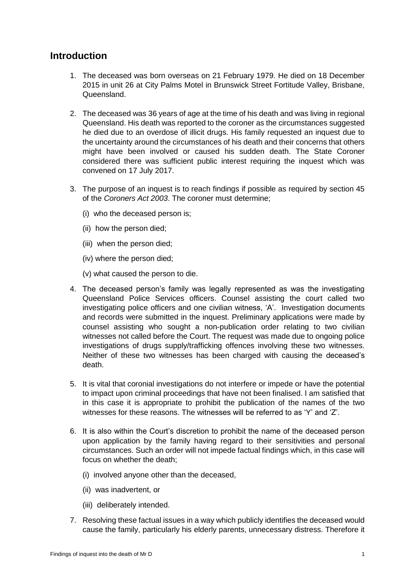# <span id="page-2-0"></span>**Introduction**

- 1. The deceased was born overseas on 21 February 1979. He died on 18 December 2015 in unit 26 at City Palms Motel in Brunswick Street Fortitude Valley, Brisbane, Queensland.
- 2. The deceased was 36 years of age at the time of his death and was living in regional Queensland. His death was reported to the coroner as the circumstances suggested he died due to an overdose of illicit drugs. His family requested an inquest due to the uncertainty around the circumstances of his death and their concerns that others might have been involved or caused his sudden death. The State Coroner considered there was sufficient public interest requiring the inquest which was convened on 17 July 2017.
- 3. The purpose of an inquest is to reach findings if possible as required by section 45 of the *Coroners Act 2003*. The coroner must determine;
	- (i) who the deceased person is;
	- (ii) how the person died;
	- (iii) when the person died;
	- (iv) where the person died;

(v) what caused the person to die.

- 4. The deceased person's family was legally represented as was the investigating Queensland Police Services officers. Counsel assisting the court called two investigating police officers and one civilian witness, 'A'. Investigation documents and records were submitted in the inquest. Preliminary applications were made by counsel assisting who sought a non-publication order relating to two civilian witnesses not called before the Court. The request was made due to ongoing police investigations of drugs supply/trafficking offences involving these two witnesses. Neither of these two witnesses has been charged with causing the deceased's death.
- 5. It is vital that coronial investigations do not interfere or impede or have the potential to impact upon criminal proceedings that have not been finalised. I am satisfied that in this case it is appropriate to prohibit the publication of the names of the two witnesses for these reasons. The witnesses will be referred to as 'Y' and 'Z'.
- 6. It is also within the Court's discretion to prohibit the name of the deceased person upon application by the family having regard to their sensitivities and personal circumstances. Such an order will not impede factual findings which, in this case will focus on whether the death;
	- (i) involved anyone other than the deceased,
	- (ii) was inadvertent, or
	- (iii) deliberately intended.
- 7. Resolving these factual issues in a way which publicly identifies the deceased would cause the family, particularly his elderly parents, unnecessary distress. Therefore it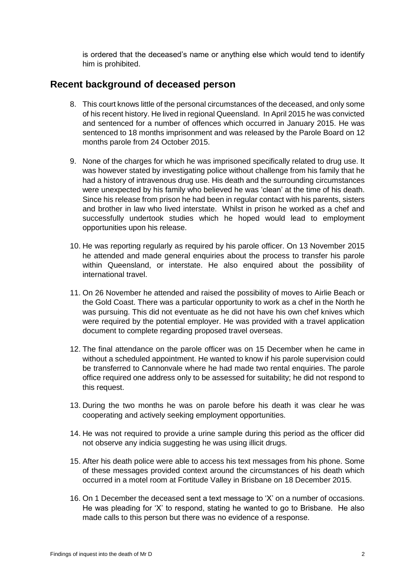is ordered that the deceased's name or anything else which would tend to identify him is prohibited.

#### <span id="page-3-0"></span>**Recent background of deceased person**

- 8. This court knows little of the personal circumstances of the deceased, and only some of his recent history. He lived in regional Queensland. In April 2015 he was convicted and sentenced for a number of offences which occurred in January 2015. He was sentenced to 18 months imprisonment and was released by the Parole Board on 12 months parole from 24 October 2015.
- 9. None of the charges for which he was imprisoned specifically related to drug use. It was however stated by investigating police without challenge from his family that he had a history of intravenous drug use. His death and the surrounding circumstances were unexpected by his family who believed he was 'clean' at the time of his death. Since his release from prison he had been in regular contact with his parents, sisters and brother in law who lived interstate. Whilst in prison he worked as a chef and successfully undertook studies which he hoped would lead to employment opportunities upon his release.
- 10. He was reporting regularly as required by his parole officer. On 13 November 2015 he attended and made general enquiries about the process to transfer his parole within Queensland, or interstate. He also enquired about the possibility of international travel.
- 11. On 26 November he attended and raised the possibility of moves to Airlie Beach or the Gold Coast. There was a particular opportunity to work as a chef in the North he was pursuing. This did not eventuate as he did not have his own chef knives which were required by the potential employer. He was provided with a travel application document to complete regarding proposed travel overseas.
- 12. The final attendance on the parole officer was on 15 December when he came in without a scheduled appointment. He wanted to know if his parole supervision could be transferred to Cannonvale where he had made two rental enquiries. The parole office required one address only to be assessed for suitability; he did not respond to this request.
- 13. During the two months he was on parole before his death it was clear he was cooperating and actively seeking employment opportunities.
- 14. He was not required to provide a urine sample during this period as the officer did not observe any indicia suggesting he was using illicit drugs.
- 15. After his death police were able to access his text messages from his phone. Some of these messages provided context around the circumstances of his death which occurred in a motel room at Fortitude Valley in Brisbane on 18 December 2015.
- 16. On 1 December the deceased sent a text message to 'X' on a number of occasions. He was pleading for 'X' to respond, stating he wanted to go to Brisbane. He also made calls to this person but there was no evidence of a response.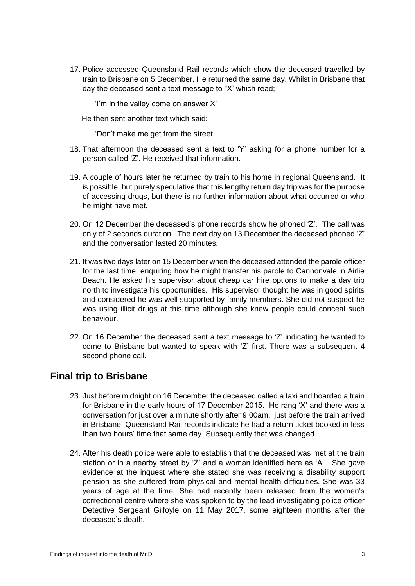17. Police accessed Queensland Rail records which show the deceased travelled by train to Brisbane on 5 December. He returned the same day. Whilst in Brisbane that day the deceased sent a text message to "X' which read;

'I'm in the valley come on answer X'

He then sent another text which said:

'Don't make me get from the street.

- 18. That afternoon the deceased sent a text to 'Y' asking for a phone number for a person called 'Z'. He received that information.
- 19. A couple of hours later he returned by train to his home in regional Queensland. It is possible, but purely speculative that this lengthy return day trip was for the purpose of accessing drugs, but there is no further information about what occurred or who he might have met.
- 20. On 12 December the deceased's phone records show he phoned 'Z'. The call was only of 2 seconds duration. The next day on 13 December the deceased phoned 'Z' and the conversation lasted 20 minutes.
- 21. It was two days later on 15 December when the deceased attended the parole officer for the last time, enquiring how he might transfer his parole to Cannonvale in Airlie Beach. He asked his supervisor about cheap car hire options to make a day trip north to investigate his opportunities. His supervisor thought he was in good spirits and considered he was well supported by family members. She did not suspect he was using illicit drugs at this time although she knew people could conceal such behaviour.
- 22. On 16 December the deceased sent a text message to 'Z' indicating he wanted to come to Brisbane but wanted to speak with 'Z' first. There was a subsequent 4 second phone call.

# <span id="page-4-0"></span>**Final trip to Brisbane**

- 23. Just before midnight on 16 December the deceased called a taxi and boarded a train for Brisbane in the early hours of 17 December 2015. He rang 'X' and there was a conversation for just over a minute shortly after 9:00am, just before the train arrived in Brisbane. Queensland Rail records indicate he had a return ticket booked in less than two hours' time that same day. Subsequently that was changed.
- 24. After his death police were able to establish that the deceased was met at the train station or in a nearby street by 'Z' and a woman identified here as 'A'. She gave evidence at the inquest where she stated she was receiving a disability support pension as she suffered from physical and mental health difficulties. She was 33 years of age at the time. She had recently been released from the women's correctional centre where she was spoken to by the lead investigating police officer Detective Sergeant Gilfoyle on 11 May 2017, some eighteen months after the deceased's death.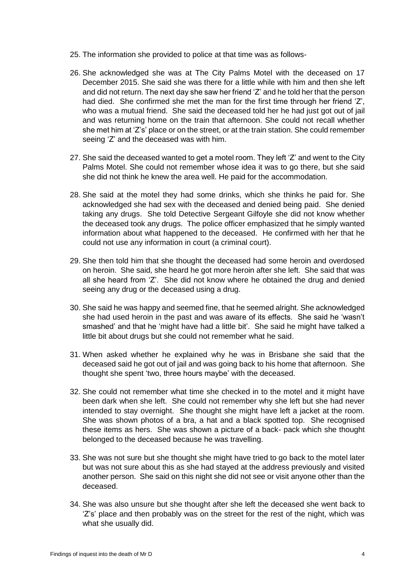- 25. The information she provided to police at that time was as follows-
- 26. She acknowledged she was at The City Palms Motel with the deceased on 17 December 2015. She said she was there for a little while with him and then she left and did not return. The next day she saw her friend 'Z' and he told her that the person had died. She confirmed she met the man for the first time through her friend 'Z', who was a mutual friend. She said the deceased told her he had just got out of jail and was returning home on the train that afternoon. She could not recall whether she met him at 'Z's' place or on the street, or at the train station. She could remember seeing 'Z' and the deceased was with him.
- 27. She said the deceased wanted to get a motel room. They left 'Z' and went to the City Palms Motel. She could not remember whose idea it was to go there, but she said she did not think he knew the area well. He paid for the accommodation.
- 28. She said at the motel they had some drinks, which she thinks he paid for. She acknowledged she had sex with the deceased and denied being paid. She denied taking any drugs. She told Detective Sergeant Gilfoyle she did not know whether the deceased took any drugs. The police officer emphasized that he simply wanted information about what happened to the deceased. He confirmed with her that he could not use any information in court (a criminal court).
- 29. She then told him that she thought the deceased had some heroin and overdosed on heroin. She said, she heard he got more heroin after she left. She said that was all she heard from 'Z'. She did not know where he obtained the drug and denied seeing any drug or the deceased using a drug.
- 30. She said he was happy and seemed fine, that he seemed alright. She acknowledged she had used heroin in the past and was aware of its effects. She said he 'wasn't smashed' and that he 'might have had a little bit'. She said he might have talked a little bit about drugs but she could not remember what he said.
- 31. When asked whether he explained why he was in Brisbane she said that the deceased said he got out of jail and was going back to his home that afternoon. She thought she spent 'two, three hours maybe' with the deceased.
- 32. She could not remember what time she checked in to the motel and it might have been dark when she left. She could not remember why she left but she had never intended to stay overnight. She thought she might have left a jacket at the room. She was shown photos of a bra, a hat and a black spotted top. She recognised these items as hers. She was shown a picture of a back- pack which she thought belonged to the deceased because he was travelling.
- 33. She was not sure but she thought she might have tried to go back to the motel later but was not sure about this as she had stayed at the address previously and visited another person. She said on this night she did not see or visit anyone other than the deceased.
- 34. She was also unsure but she thought after she left the deceased she went back to 'Z's' place and then probably was on the street for the rest of the night, which was what she usually did.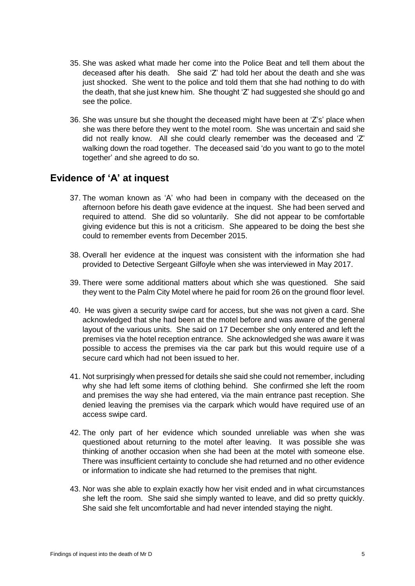- 35. She was asked what made her come into the Police Beat and tell them about the deceased after his death. She said 'Z' had told her about the death and she was just shocked. She went to the police and told them that she had nothing to do with the death, that she just knew him. She thought 'Z' had suggested she should go and see the police.
- 36. She was unsure but she thought the deceased might have been at 'Z's' place when she was there before they went to the motel room. She was uncertain and said she did not really know. All she could clearly remember was the deceased and 'Z' walking down the road together. The deceased said 'do you want to go to the motel together' and she agreed to do so.

#### <span id="page-6-0"></span>**Evidence of 'A' at inquest**

- 37. The woman known as 'A' who had been in company with the deceased on the afternoon before his death gave evidence at the inquest. She had been served and required to attend. She did so voluntarily. She did not appear to be comfortable giving evidence but this is not a criticism. She appeared to be doing the best she could to remember events from December 2015.
- 38. Overall her evidence at the inquest was consistent with the information she had provided to Detective Sergeant Gilfoyle when she was interviewed in May 2017.
- 39. There were some additional matters about which she was questioned. She said they went to the Palm City Motel where he paid for room 26 on the ground floor level.
- 40. He was given a security swipe card for access, but she was not given a card. She acknowledged that she had been at the motel before and was aware of the general layout of the various units. She said on 17 December she only entered and left the premises via the hotel reception entrance. She acknowledged she was aware it was possible to access the premises via the car park but this would require use of a secure card which had not been issued to her.
- 41. Not surprisingly when pressed for details she said she could not remember, including why she had left some items of clothing behind. She confirmed she left the room and premises the way she had entered, via the main entrance past reception. She denied leaving the premises via the carpark which would have required use of an access swipe card.
- 42. The only part of her evidence which sounded unreliable was when she was questioned about returning to the motel after leaving. It was possible she was thinking of another occasion when she had been at the motel with someone else. There was insufficient certainty to conclude she had returned and no other evidence or information to indicate she had returned to the premises that night.
- 43. Nor was she able to explain exactly how her visit ended and in what circumstances she left the room. She said she simply wanted to leave, and did so pretty quickly. She said she felt uncomfortable and had never intended staying the night.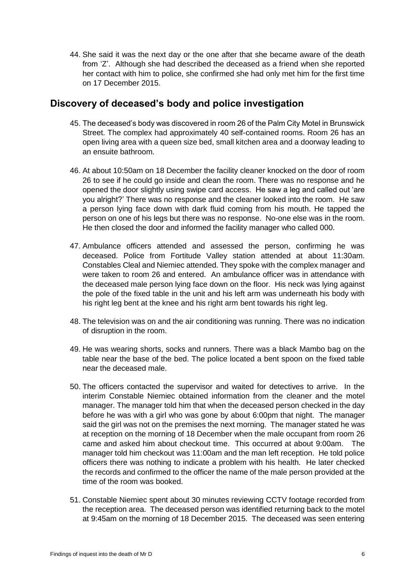44. She said it was the next day or the one after that she became aware of the death from 'Z'. Although she had described the deceased as a friend when she reported her contact with him to police, she confirmed she had only met him for the first time on 17 December 2015.

# <span id="page-7-0"></span>**Discovery of deceased's body and police investigation**

- 45. The deceased's body was discovered in room 26 of the Palm City Motel in Brunswick Street. The complex had approximately 40 self-contained rooms. Room 26 has an open living area with a queen size bed, small kitchen area and a doorway leading to an ensuite bathroom.
- 46. At about 10:50am on 18 December the facility cleaner knocked on the door of room 26 to see if he could go inside and clean the room. There was no response and he opened the door slightly using swipe card access. He saw a leg and called out 'are you alright?' There was no response and the cleaner looked into the room. He saw a person lying face down with dark fluid coming from his mouth. He tapped the person on one of his legs but there was no response. No-one else was in the room. He then closed the door and informed the facility manager who called 000.
- 47. Ambulance officers attended and assessed the person, confirming he was deceased. Police from Fortitude Valley station attended at about 11:30am. Constables Cleal and Niemiec attended. They spoke with the complex manager and were taken to room 26 and entered. An ambulance officer was in attendance with the deceased male person lying face down on the floor. His neck was lying against the pole of the fixed table in the unit and his left arm was underneath his body with his right leg bent at the knee and his right arm bent towards his right leg.
- 48. The television was on and the air conditioning was running. There was no indication of disruption in the room.
- 49. He was wearing shorts, socks and runners. There was a black Mambo bag on the table near the base of the bed. The police located a bent spoon on the fixed table near the deceased male.
- 50. The officers contacted the supervisor and waited for detectives to arrive. In the interim Constable Niemiec obtained information from the cleaner and the motel manager. The manager told him that when the deceased person checked in the day before he was with a girl who was gone by about 6:00pm that night. The manager said the girl was not on the premises the next morning. The manager stated he was at reception on the morning of 18 December when the male occupant from room 26 came and asked him about checkout time. This occurred at about 9:00am. The manager told him checkout was 11:00am and the man left reception. He told police officers there was nothing to indicate a problem with his health. He later checked the records and confirmed to the officer the name of the male person provided at the time of the room was booked.
- 51. Constable Niemiec spent about 30 minutes reviewing CCTV footage recorded from the reception area. The deceased person was identified returning back to the motel at 9:45am on the morning of 18 December 2015. The deceased was seen entering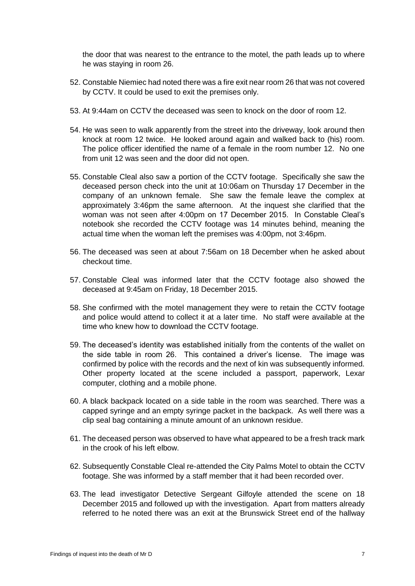the door that was nearest to the entrance to the motel, the path leads up to where he was staying in room 26.

- 52. Constable Niemiec had noted there was a fire exit near room 26 that was not covered by CCTV. It could be used to exit the premises only.
- 53. At 9:44am on CCTV the deceased was seen to knock on the door of room 12.
- 54. He was seen to walk apparently from the street into the driveway, look around then knock at room 12 twice. He looked around again and walked back to (his) room. The police officer identified the name of a female in the room number 12. No one from unit 12 was seen and the door did not open.
- 55. Constable Cleal also saw a portion of the CCTV footage. Specifically she saw the deceased person check into the unit at 10:06am on Thursday 17 December in the company of an unknown female. She saw the female leave the complex at approximately 3:46pm the same afternoon. At the inquest she clarified that the woman was not seen after 4:00pm on 17 December 2015. In Constable Cleal's notebook she recorded the CCTV footage was 14 minutes behind, meaning the actual time when the woman left the premises was 4:00pm, not 3:46pm.
- 56. The deceased was seen at about 7:56am on 18 December when he asked about checkout time.
- 57. Constable Cleal was informed later that the CCTV footage also showed the deceased at 9:45am on Friday, 18 December 2015.
- 58. She confirmed with the motel management they were to retain the CCTV footage and police would attend to collect it at a later time. No staff were available at the time who knew how to download the CCTV footage.
- 59. The deceased's identity was established initially from the contents of the wallet on the side table in room 26. This contained a driver's license. The image was confirmed by police with the records and the next of kin was subsequently informed. Other property located at the scene included a passport, paperwork, Lexar computer, clothing and a mobile phone.
- 60. A black backpack located on a side table in the room was searched. There was a capped syringe and an empty syringe packet in the backpack. As well there was a clip seal bag containing a minute amount of an unknown residue.
- 61. The deceased person was observed to have what appeared to be a fresh track mark in the crook of his left elbow.
- 62. Subsequently Constable Cleal re-attended the City Palms Motel to obtain the CCTV footage. She was informed by a staff member that it had been recorded over.
- 63. The lead investigator Detective Sergeant Gilfoyle attended the scene on 18 December 2015 and followed up with the investigation. Apart from matters already referred to he noted there was an exit at the Brunswick Street end of the hallway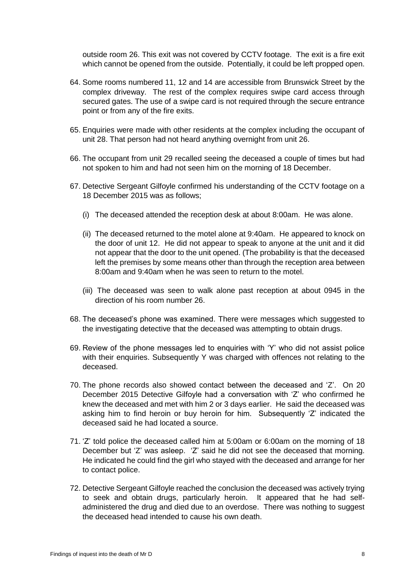outside room 26. This exit was not covered by CCTV footage. The exit is a fire exit which cannot be opened from the outside. Potentially, it could be left propped open.

- 64. Some rooms numbered 11, 12 and 14 are accessible from Brunswick Street by the complex driveway. The rest of the complex requires swipe card access through secured gates. The use of a swipe card is not required through the secure entrance point or from any of the fire exits.
- 65. Enquiries were made with other residents at the complex including the occupant of unit 28. That person had not heard anything overnight from unit 26.
- 66. The occupant from unit 29 recalled seeing the deceased a couple of times but had not spoken to him and had not seen him on the morning of 18 December.
- 67. Detective Sergeant Gilfoyle confirmed his understanding of the CCTV footage on a 18 December 2015 was as follows;
	- (i) The deceased attended the reception desk at about 8:00am. He was alone.
	- (ii) The deceased returned to the motel alone at 9:40am. He appeared to knock on the door of unit 12. He did not appear to speak to anyone at the unit and it did not appear that the door to the unit opened. (The probability is that the deceased left the premises by some means other than through the reception area between 8:00am and 9:40am when he was seen to return to the motel.
	- (iii) The deceased was seen to walk alone past reception at about 0945 in the direction of his room number 26.
- 68. The deceased's phone was examined. There were messages which suggested to the investigating detective that the deceased was attempting to obtain drugs.
- 69. Review of the phone messages led to enquiries with 'Y' who did not assist police with their enquiries. Subsequently Y was charged with offences not relating to the deceased.
- 70. The phone records also showed contact between the deceased and 'Z'. On 20 December 2015 Detective Gilfoyle had a conversation with 'Z' who confirmed he knew the deceased and met with him 2 or 3 days earlier. He said the deceased was asking him to find heroin or buy heroin for him. Subsequently 'Z' indicated the deceased said he had located a source.
- 71. 'Z' told police the deceased called him at 5:00am or 6:00am on the morning of 18 December but 'Z' was asleep. 'Z' said he did not see the deceased that morning. He indicated he could find the girl who stayed with the deceased and arrange for her to contact police.
- 72. Detective Sergeant Gilfoyle reached the conclusion the deceased was actively trying to seek and obtain drugs, particularly heroin. It appeared that he had selfadministered the drug and died due to an overdose. There was nothing to suggest the deceased head intended to cause his own death.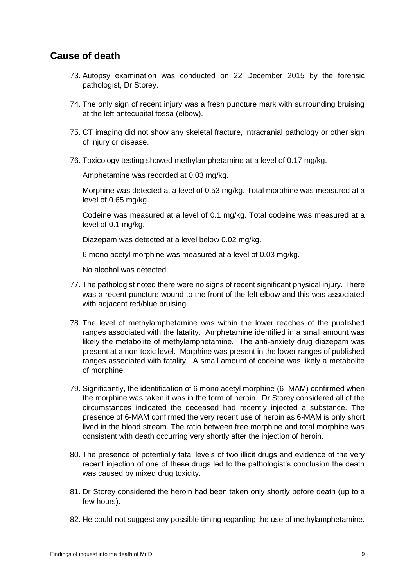# <span id="page-10-0"></span>**Cause of death**

- 73. Autopsy examination was conducted on 22 December 2015 by the forensic pathologist, Dr Storey.
- 74. The only sign of recent injury was a fresh puncture mark with surrounding bruising at the left antecubital fossa (elbow).
- 75. CT imaging did not show any skeletal fracture, intracranial pathology or other sign of injury or disease.
- 76. Toxicology testing showed methylamphetamine at a level of 0.17 mg/kg.

Amphetamine was recorded at 0.03 mg/kg.

Morphine was detected at a level of 0.53 mg/kg. Total morphine was measured at a level of 0.65 mg/kg.

Codeine was measured at a level of 0.1 mg/kg. Total codeine was measured at a level of 0.1 mg/kg.

Diazepam was detected at a level below 0.02 mg/kg.

6 mono acetyl morphine was measured at a level of 0.03 mg/kg.

No alcohol was detected.

- 77. The pathologist noted there were no signs of recent significant physical injury. There was a recent puncture wound to the front of the left elbow and this was associated with adjacent red/blue bruising.
- 78. The level of methylamphetamine was within the lower reaches of the published ranges associated with the fatality. Amphetamine identified in a small amount was likely the metabolite of methylamphetamine. The anti-anxiety drug diazepam was present at a non-toxic level. Morphine was present in the lower ranges of published ranges associated with fatality. A small amount of codeine was likely a metabolite of morphine.
- 79. Significantly, the identification of 6 mono acetyl morphine (6- MAM) confirmed when the morphine was taken it was in the form of heroin. Dr Storey considered all of the circumstances indicated the deceased had recently injected a substance. The presence of 6-MAM confirmed the very recent use of heroin as 6-MAM is only short lived in the blood stream. The ratio between free morphine and total morphine was consistent with death occurring very shortly after the injection of heroin.
- 80. The presence of potentially fatal levels of two illicit drugs and evidence of the very recent injection of one of these drugs led to the pathologist's conclusion the death was caused by mixed drug toxicity.
- 81. Dr Storey considered the heroin had been taken only shortly before death (up to a few hours).
- 82. He could not suggest any possible timing regarding the use of methylamphetamine.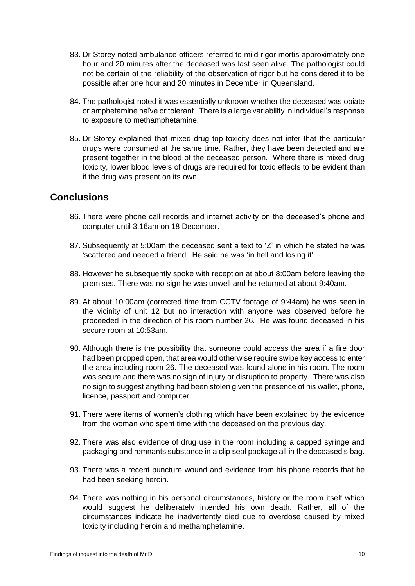- 83. Dr Storey noted ambulance officers referred to mild rigor mortis approximately one hour and 20 minutes after the deceased was last seen alive. The pathologist could not be certain of the reliability of the observation of rigor but he considered it to be possible after one hour and 20 minutes in December in Queensland.
- 84. The pathologist noted it was essentially unknown whether the deceased was opiate or amphetamine naïve or tolerant. There is a large variability in individual's response to exposure to methamphetamine.
- 85. Dr Storey explained that mixed drug top toxicity does not infer that the particular drugs were consumed at the same time. Rather, they have been detected and are present together in the blood of the deceased person. Where there is mixed drug toxicity, lower blood levels of drugs are required for toxic effects to be evident than if the drug was present on its own.

# <span id="page-11-0"></span>**Conclusions**

- 86. There were phone call records and internet activity on the deceased's phone and computer until 3:16am on 18 December.
- 87. Subsequently at 5:00am the deceased sent a text to 'Z' in which he stated he was 'scattered and needed a friend'. He said he was 'in hell and losing it'.
- 88. However he subsequently spoke with reception at about 8:00am before leaving the premises. There was no sign he was unwell and he returned at about 9:40am.
- 89. At about 10:00am (corrected time from CCTV footage of 9:44am) he was seen in the vicinity of unit 12 but no interaction with anyone was observed before he proceeded in the direction of his room number 26. He was found deceased in his secure room at 10:53am.
- 90. Although there is the possibility that someone could access the area if a fire door had been propped open, that area would otherwise require swipe key access to enter the area including room 26. The deceased was found alone in his room. The room was secure and there was no sign of injury or disruption to property. There was also no sign to suggest anything had been stolen given the presence of his wallet, phone, licence, passport and computer.
- 91. There were items of women's clothing which have been explained by the evidence from the woman who spent time with the deceased on the previous day.
- 92. There was also evidence of drug use in the room including a capped syringe and packaging and remnants substance in a clip seal package all in the deceased's bag.
- 93. There was a recent puncture wound and evidence from his phone records that he had been seeking heroin.
- 94. There was nothing in his personal circumstances, history or the room itself which would suggest he deliberately intended his own death. Rather, all of the circumstances indicate he inadvertently died due to overdose caused by mixed toxicity including heroin and methamphetamine.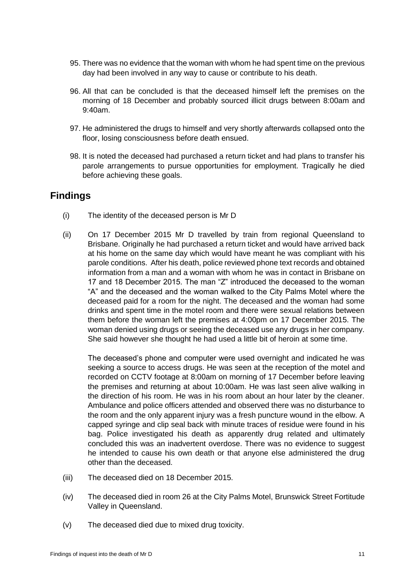- 95. There was no evidence that the woman with whom he had spent time on the previous day had been involved in any way to cause or contribute to his death.
- 96. All that can be concluded is that the deceased himself left the premises on the morning of 18 December and probably sourced illicit drugs between 8:00am and 9:40am.
- 97. He administered the drugs to himself and very shortly afterwards collapsed onto the floor, losing consciousness before death ensued.
- 98. It is noted the deceased had purchased a return ticket and had plans to transfer his parole arrangements to pursue opportunities for employment. Tragically he died before achieving these goals.

### <span id="page-12-0"></span>**Findings**

- (i) The identity of the deceased person is Mr D
- (ii) On 17 December 2015 Mr D travelled by train from regional Queensland to Brisbane. Originally he had purchased a return ticket and would have arrived back at his home on the same day which would have meant he was compliant with his parole conditions. After his death, police reviewed phone text records and obtained information from a man and a woman with whom he was in contact in Brisbane on 17 and 18 December 2015. The man "Z" introduced the deceased to the woman "A" and the deceased and the woman walked to the City Palms Motel where the deceased paid for a room for the night. The deceased and the woman had some drinks and spent time in the motel room and there were sexual relations between them before the woman left the premises at 4:00pm on 17 December 2015. The woman denied using drugs or seeing the deceased use any drugs in her company. She said however she thought he had used a little bit of heroin at some time.

The deceased's phone and computer were used overnight and indicated he was seeking a source to access drugs. He was seen at the reception of the motel and recorded on CCTV footage at 8:00am on morning of 17 December before leaving the premises and returning at about 10:00am. He was last seen alive walking in the direction of his room. He was in his room about an hour later by the cleaner. Ambulance and police officers attended and observed there was no disturbance to the room and the only apparent injury was a fresh puncture wound in the elbow. A capped syringe and clip seal back with minute traces of residue were found in his bag. Police investigated his death as apparently drug related and ultimately concluded this was an inadvertent overdose. There was no evidence to suggest he intended to cause his own death or that anyone else administered the drug other than the deceased.

- (iii) The deceased died on 18 December 2015.
- (iv) The deceased died in room 26 at the City Palms Motel, Brunswick Street Fortitude Valley in Queensland.
- (v) The deceased died due to mixed drug toxicity.